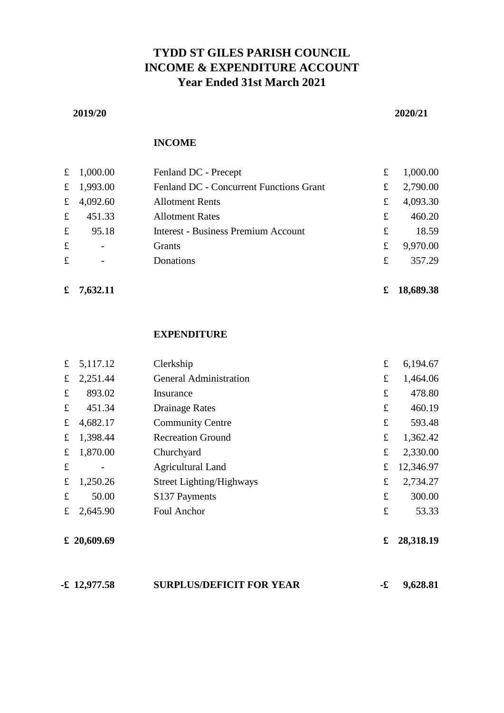# **TYDD ST GILES PARISH COUNCIL INCOME & EXPENDITURE ACCOUNT Year Ended 31st March 2021**

#### **2019/20 2020/21**

#### **INCOME**

|             | £ $1,000.00$             | Fenland DC - Precept                       | £ | 1,000.00 |
|-------------|--------------------------|--------------------------------------------|---|----------|
|             | £ $1,993.00$             | Fenland DC - Concurrent Functions Grant    | £ | 2,790.00 |
|             | £ 4,092.60               | <b>Allotment Rents</b>                     | £ | 4,093.30 |
| f           | 451.33                   | <b>Allotment Rates</b>                     | £ | 460.20   |
| $\mathbf f$ | 95.18                    | <b>Interest - Business Premium Account</b> | £ | 18.59    |
| $\mathbf f$ | $\overline{\phantom{a}}$ | <b>Grants</b>                              | £ | 9,970.00 |
| $\mathbf f$ |                          | Donations                                  | £ | 357.29   |
|             |                          |                                            |   |          |

**£ 7,632.11 £ 18,689.38**

## **EXPENDITURE**

| f           | 5,117.12    | Clerkship                       | £         | 6,194.67  |
|-------------|-------------|---------------------------------|-----------|-----------|
| $\mathbf f$ | 2,251.44    | <b>General Administration</b>   | £         | 1,464.06  |
| f           | 893.02      | Insurance                       | £         | 478.80    |
| f           | 451.34      | <b>Drainage Rates</b>           | £         | 460.19    |
| £           | 4,682.17    | <b>Community Centre</b>         | £         | 593.48    |
| f           | 1,398.44    | <b>Recreation Ground</b>        | £         | 1,362.42  |
| £           | 1,870.00    | Churchyard                      | £         | 2,330.00  |
| £           |             | <b>Agricultural Land</b>        | £         | 12,346.97 |
| $\pounds$   | 1,250.26    | <b>Street Lighting/Highways</b> | £         | 2,734.27  |
| £           | 50.00       | S <sub>137</sub> Payments       | £         | 300.00    |
| £           | 2,645.90    | Foul Anchor                     | $\pounds$ | 53.33     |
|             | £ 20,609.69 |                                 | £         | 28,318.19 |
|             |             |                                 |           |           |

| $-12,977.58$ | <b>SURPLUS/DEFICIT FOR YEAR</b> |  | 9,628.81 |
|--------------|---------------------------------|--|----------|
|--------------|---------------------------------|--|----------|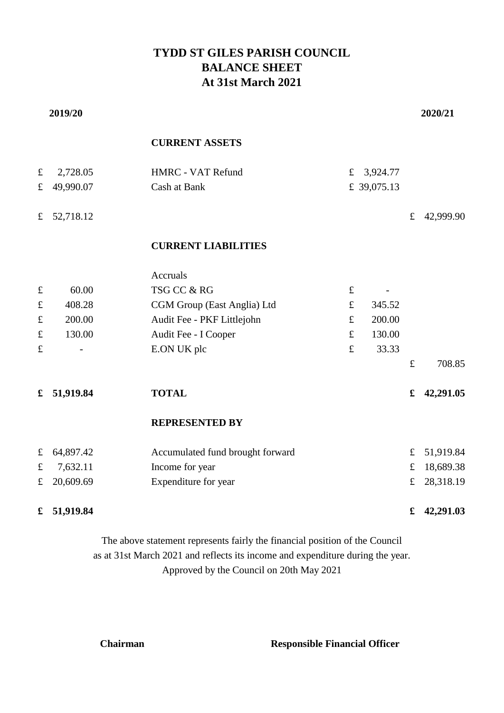# **TYDD ST GILES PARISH COUNCIL BALANCE SHEET At 31st March 2021**

|             | 2019/20   |                                  |             |             |             | 2020/21   |
|-------------|-----------|----------------------------------|-------------|-------------|-------------|-----------|
|             |           | <b>CURRENT ASSETS</b>            |             |             |             |           |
| $\mathbf f$ | 2,728.05  | HMRC - VAT Refund                | $\mathbf f$ | 3,924.77    |             |           |
| $\pounds$   | 49,990.07 | Cash at Bank                     |             | £ 39,075.13 |             |           |
| $\pounds$   | 52,718.12 |                                  |             |             | $\pounds$   | 42,999.90 |
|             |           | <b>CURRENT LIABILITIES</b>       |             |             |             |           |
|             |           | <b>Accruals</b>                  |             |             |             |           |
| $\pounds$   | 60.00     | TSG CC & RG                      | $\pounds$   |             |             |           |
| $\pounds$   | 408.28    | CGM Group (East Anglia) Ltd      | $\pounds$   | 345.52      |             |           |
| $\pounds$   | 200.00    | Audit Fee - PKF Littlejohn       | $\pounds$   | 200.00      |             |           |
| $\pounds$   | 130.00    | Audit Fee - I Cooper             | $\pounds$   | 130.00      |             |           |
| $\pounds$   |           | E.ON UK plc                      | $\pounds$   | 33.33       |             |           |
|             |           |                                  |             |             | f           | 708.85    |
| £           | 51,919.84 | <b>TOTAL</b>                     |             |             | £           | 42,291.05 |
|             |           | <b>REPRESENTED BY</b>            |             |             |             |           |
| $\pounds$   | 64,897.42 | Accumulated fund brought forward |             |             | $\mathbf f$ | 51,919.84 |
| $\pounds$   | 7,632.11  | Income for year                  |             |             | $\pounds$   | 18,689.38 |
| $\pounds$   | 20,609.69 | Expenditure for year             |             |             | $\mathbf f$ | 28,318.19 |
| £           | 51,919.84 |                                  |             |             | £           | 42,291.03 |

as at 31st March 2021 and reflects its income and expenditure during the year. Approved by the Council on 20th May 2021 The above statement represents fairly the financial position of the Council

**Chairman Responsible Financial Officer**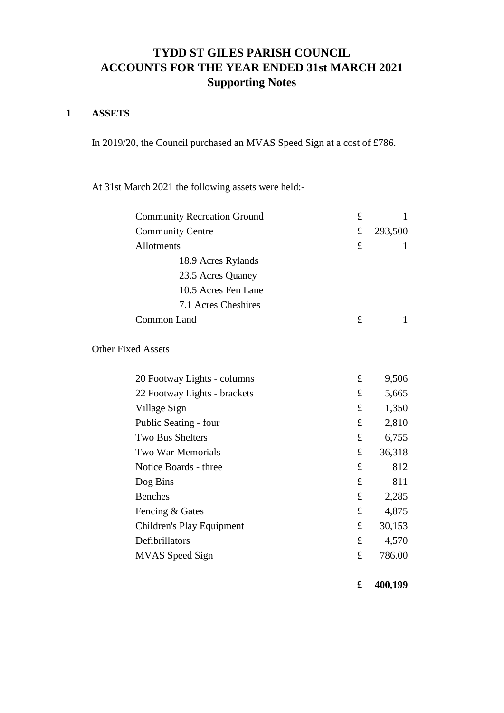# **ACCOUNTS FOR THE YEAR ENDED 31st MARCH 2021 TYDD ST GILES PARISH COUNCIL Supporting Notes**

# **1 ASSETS**

In 2019/20, the Council purchased an MVAS Speed Sign at a cost of £786.

At 31st March 2021 the following assets were held:-

| <b>Community Recreation Ground</b> | $\pounds$   | 1       |
|------------------------------------|-------------|---------|
| <b>Community Centre</b>            | $\mathbf f$ | 293,500 |
| Allotments                         | £           | 1       |
| 18.9 Acres Rylands                 |             |         |
| 23.5 Acres Quaney                  |             |         |
| 10.5 Acres Fen Lane                |             |         |
| 7.1 Acres Cheshires                |             |         |
| Common Land                        | £           | 1       |
| <b>Other Fixed Assets</b>          |             |         |
| 20 Footway Lights - columns        | $\mathbf f$ | 9,506   |
| 22 Footway Lights - brackets       | $\mathbf f$ | 5,665   |
| Village Sign                       | $\mathbf f$ | 1,350   |
| Public Seating - four              | $\mathbf f$ | 2,810   |
| <b>Two Bus Shelters</b>            | $\mathbf f$ | 6,755   |
| <b>Two War Memorials</b>           | £           | 36,318  |
| Notice Boards - three              | £           | 812     |
| Dog Bins                           | £           | 811     |
| <b>Benches</b>                     | $\mathbf f$ | 2,285   |
| Fencing & Gates                    | $\mathbf f$ | 4,875   |
| Children's Play Equipment          | $\mathbf f$ | 30,153  |
| Defibrillators                     | $\mathbf f$ | 4,570   |
| <b>MVAS</b> Speed Sign             | £           | 786.00  |
|                                    |             |         |

**£ 400,199**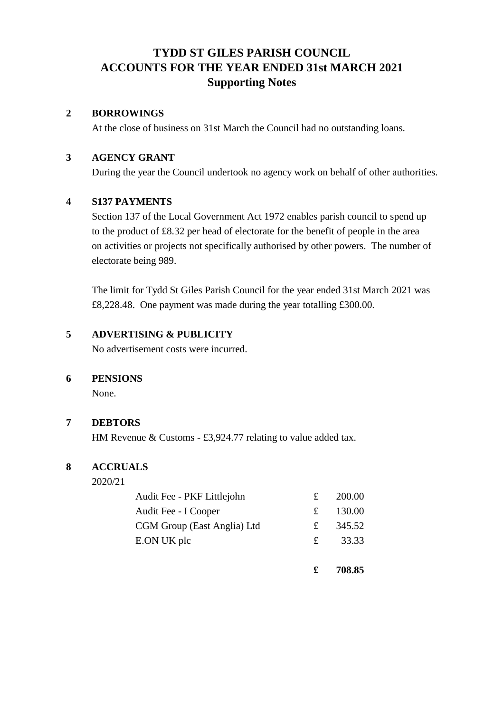# **Supporting Notes ACCOUNTS FOR THE YEAR ENDED 31st MARCH 2021 TYDD ST GILES PARISH COUNCIL**

## **2 BORROWINGS**

At the close of business on 31st March the Council had no outstanding loans.

# **3 AGENCY GRANT**

During the year the Council undertook no agency work on behalf of other authorities.

# **4 S137 PAYMENTS**

Section 137 of the Local Government Act 1972 enables parish council to spend up to the product of £8.32 per head of electorate for the benefit of people in the area on activities or projects not specifically authorised by other powers. The number of electorate being 989.

The limit for Tydd St Giles Parish Council for the year ended 31st March 2021 was £8,228.48. One payment was made during the year totalling £300.00.

# **5 ADVERTISING & PUBLICITY**

No advertisement costs were incurred.

# **6 PENSIONS**

None.

# **7 DEBTORS**

HM Revenue & Customs - £3,924.77 relating to value added tax.

## **8 ACCRUALS**

2020/21

| Audit Fee - PKF Littlejohn  | £           | 200.00 |
|-----------------------------|-------------|--------|
| Audit Fee - I Cooper        | £           | 130.00 |
| CGM Group (East Anglia) Ltd | £           | 345.52 |
| E.ON UK plc                 | $f_{\perp}$ | 33.33  |
|                             |             |        |

**£ 708.85**